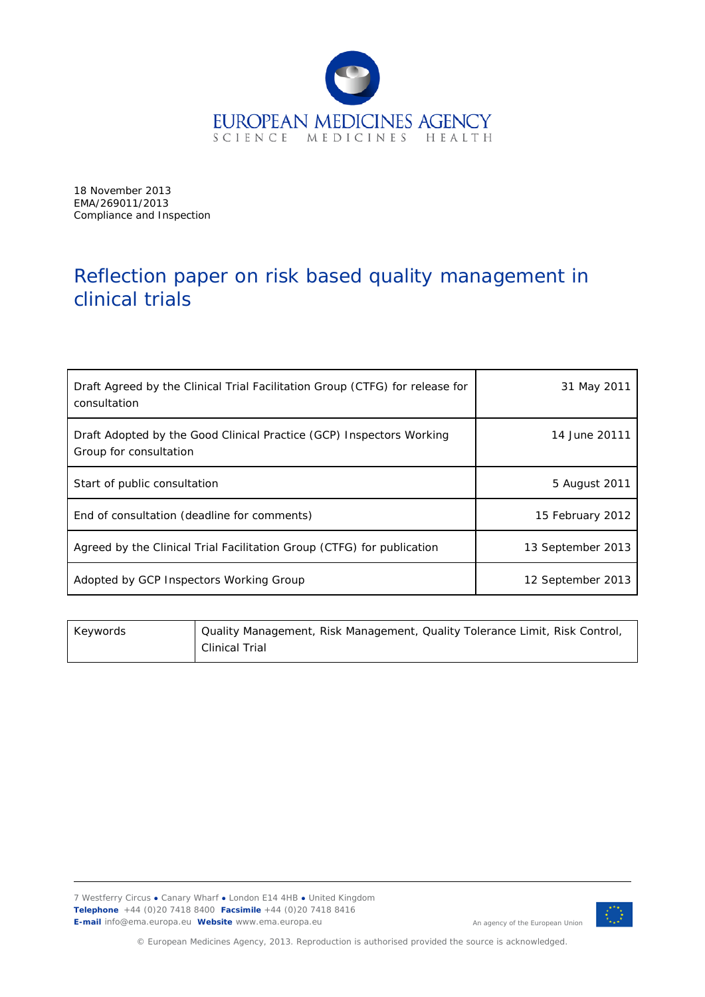

18 November 2013 EMA/269011/2013 Compliance and Inspection

# Reflection paper on risk based quality management in clinical trials

| Draft Agreed by the Clinical Trial Facilitation Group (CTFG) for release for<br>consultation   | 31 May 2011       |
|------------------------------------------------------------------------------------------------|-------------------|
| Draft Adopted by the Good Clinical Practice (GCP) Inspectors Working<br>Group for consultation | 14 June 20111     |
| Start of public consultation                                                                   | 5 August 2011     |
| End of consultation (deadline for comments)                                                    | 15 February 2012  |
| Agreed by the Clinical Trial Facilitation Group (CTFG) for publication                         | 13 September 2013 |
| Adopted by GCP Inspectors Working Group                                                        | 12 September 2013 |

| Keywords | Quality Management, Risk Management, Quality Tolerance Limit, Risk Control, |
|----------|-----------------------------------------------------------------------------|
|          | <b>Clinical Trial</b>                                                       |

7 Westferry Circus **●** Canary Wharf **●** London E14 4HB **●** United Kingdom **Telephone** +44 (0)20 7418 8400 **Facsimile** +44 (0)20 7418 8416 **E-mail** info@ema.europa.eu **Website** www.ema.europa.eu



An agency of the European Union

© European Medicines Agency, 2013. Reproduction is authorised provided the source is acknowledged.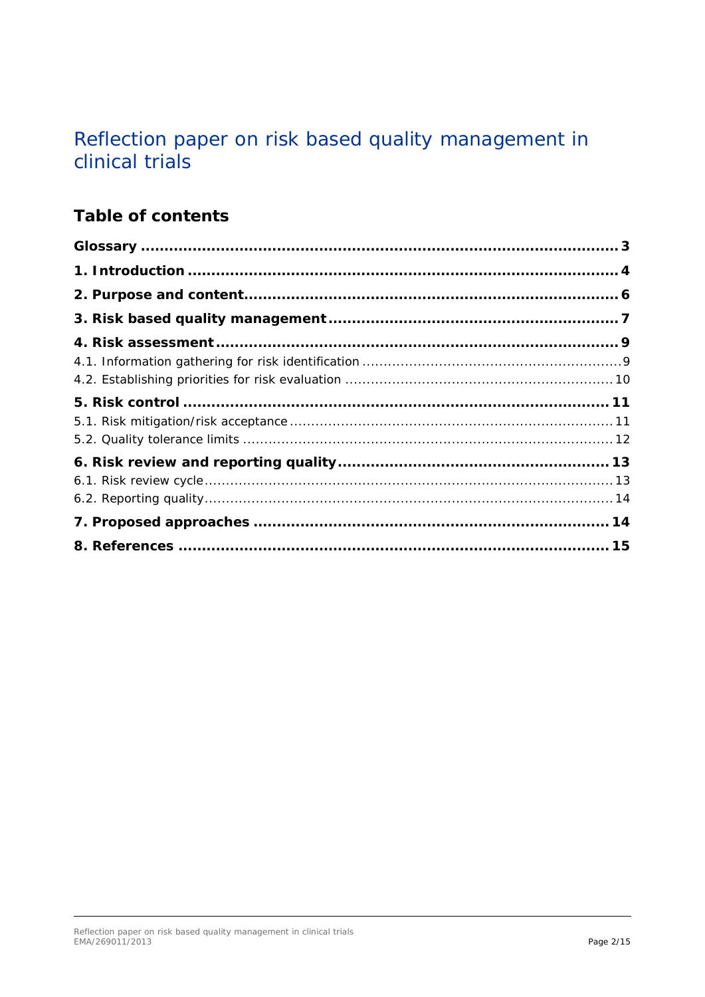# Reflection paper on risk based quality management in clinical trials

## **Table of contents**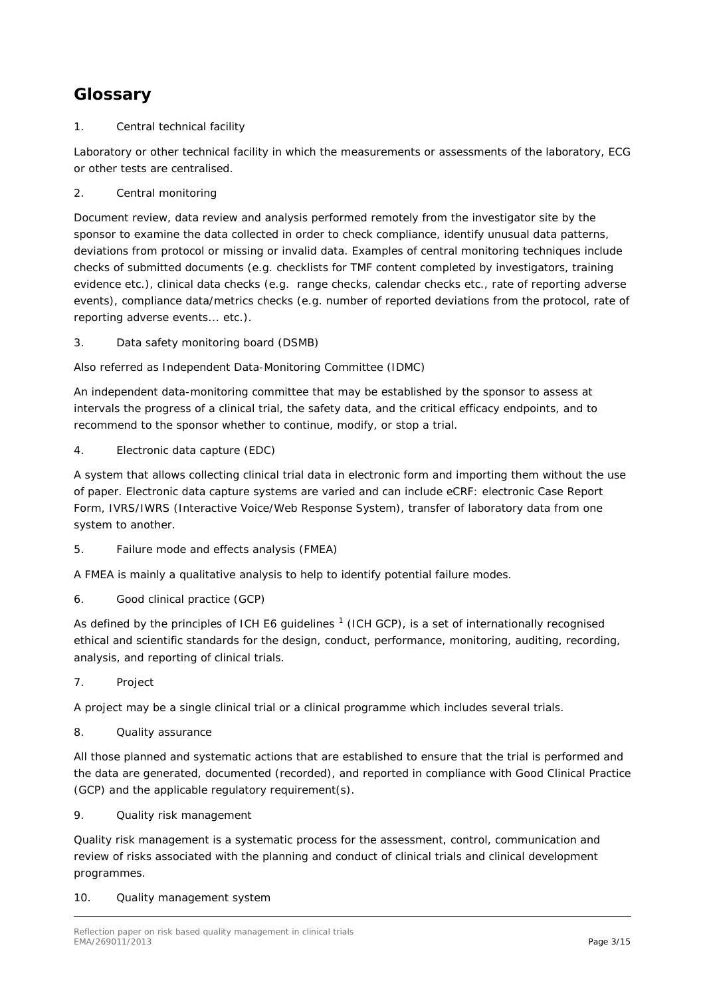## <span id="page-2-0"></span>**Glossary**

1. Central technical facility

Laboratory or other technical facility in which the measurements or assessments of the laboratory, ECG or other tests are centralised.

2. Central monitoring

Document review, data review and analysis performed remotely from the investigator site by the sponsor to examine the data collected in order to check compliance, identify unusual data patterns, deviations from protocol or missing or invalid data. Examples of central monitoring techniques include checks of submitted documents (e.g. checklists for TMF content completed by investigators, training evidence etc.), clinical data checks (e.g. range checks, calendar checks etc., rate of reporting adverse events), compliance data/metrics checks (e.g. number of reported deviations from the protocol, rate of reporting adverse events... etc.).

3. Data safety monitoring board (DSMB)

Also referred as Independent Data-Monitoring Committee (IDMC)

An independent data-monitoring committee that may be established by the sponsor to assess at intervals the progress of a clinical trial, the safety data, and the critical efficacy endpoints, and to recommend to the sponsor whether to continue, modify, or stop a trial.

4. Electronic data capture (EDC)

A system that allows collecting clinical trial data in electronic form and importing them without the use of paper. Electronic data capture systems are varied and can include eCRF: electronic Case Report Form, IVRS/IWRS (Interactive Voice/Web Response System), transfer of laboratory data from one system to another.

5. Failure mode and effects analysis (FMEA)

A FMEA is mainly a qualitative analysis to help to identify potential failure modes.

6. Good clinical practice (GCP)

As defined by the principles of ICH E6 quidelines  $<sup>1</sup>$  $<sup>1</sup>$  $<sup>1</sup>$  (ICH GCP), is a set of internationally recognised</sup> ethical and scientific standards for the design, conduct, performance, monitoring, auditing, recording, analysis, and reporting of clinical trials.

7. Project

A project may be a single clinical trial or a clinical programme which includes several trials.

8. Quality assurance

All those planned and systematic actions that are established to ensure that the trial is performed and the data are generated, documented (recorded), and reported in compliance with Good Clinical Practice (GCP) and the applicable regulatory requirement(s).

9. Quality risk management

Quality risk management is a systematic process for the assessment, control, communication and review of risks associated with the planning and conduct of clinical trials and clinical development programmes.

10. Quality management system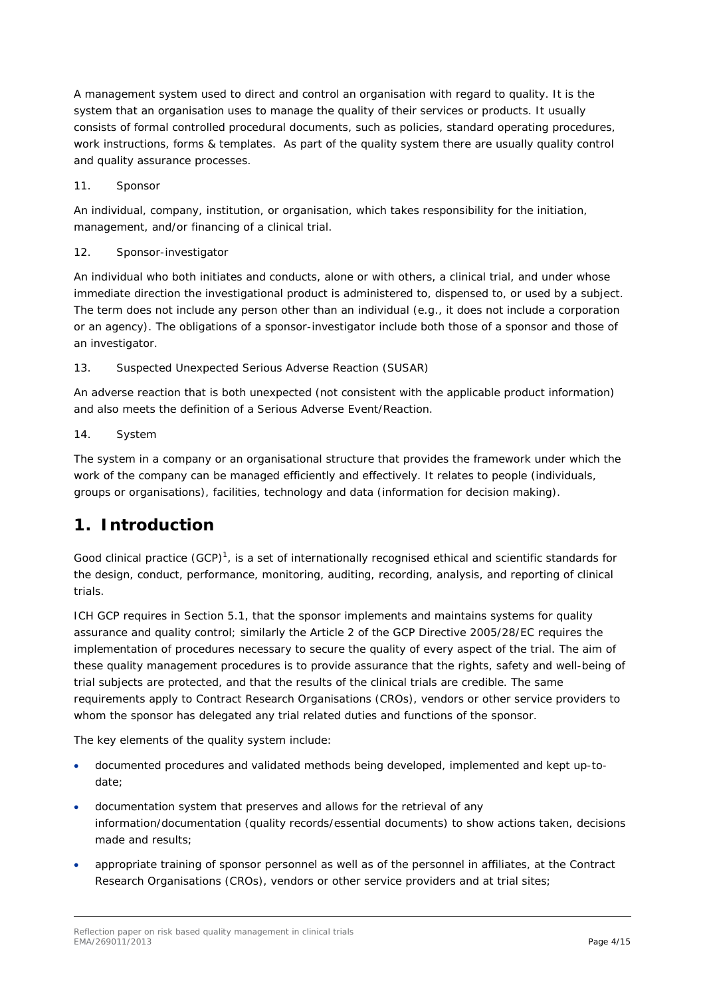A management system used to direct and control an organisation with regard to quality. It is the system that an organisation uses to manage the quality of their services or products. It usually consists of formal controlled procedural documents, such as policies, standard operating procedures, work instructions, forms & templates. As part of the quality system there are usually quality control and quality assurance processes.

11. Sponsor

An individual, company, institution, or organisation, which takes responsibility for the initiation, management, and/or financing of a clinical trial.

12. Sponsor-investigator

An individual who both initiates and conducts, alone or with others, a clinical trial, and under whose immediate direction the investigational product is administered to, dispensed to, or used by a subject. The term does not include any person other than an individual (e.g., it does not include a corporation or an agency). The obligations of a sponsor-investigator include both those of a sponsor and those of an investigator.

13. Suspected Unexpected Serious Adverse Reaction (SUSAR)

An adverse reaction that is both unexpected (not consistent with the applicable product information) and also meets the definition of a Serious Adverse Event/Reaction.

14. System

The system in a company or an organisational structure that provides the framework under which the work of the company can be managed efficiently and effectively. It relates to people (individuals, groups or organisations), facilities, technology and data (information for decision making).

## <span id="page-3-0"></span>**1. Introduction**

Good clinical practice (GCP)<sup>1</sup>, is a set of internationally recognised ethical and scientific standards for the design, conduct, performance, monitoring, auditing, recording, analysis, and reporting of clinical trials.

ICH GCP requires in Section 5.1, that the sponsor implements and maintains systems for quality assurance and quality control; similarly the Article 2 of the GCP Directive 2005/28/EC requires the implementation of procedures necessary to secure the quality of every aspect of the trial. The aim of these quality management procedures is to provide assurance that the rights, safety and well-being of trial subjects are protected, and that the results of the clinical trials are credible. The same requirements apply to Contract Research Organisations (CROs), vendors or other service providers to whom the sponsor has delegated any trial related duties and functions of the sponsor.

The key elements of the quality system include:

- documented procedures and validated methods being developed, implemented and kept up-todate;
- documentation system that preserves and allows for the retrieval of any information/documentation (quality records/essential documents) to show actions taken, decisions made and results;
- appropriate training of sponsor personnel as well as of the personnel in affiliates, at the Contract Research Organisations (CROs), vendors or other service providers and at trial sites;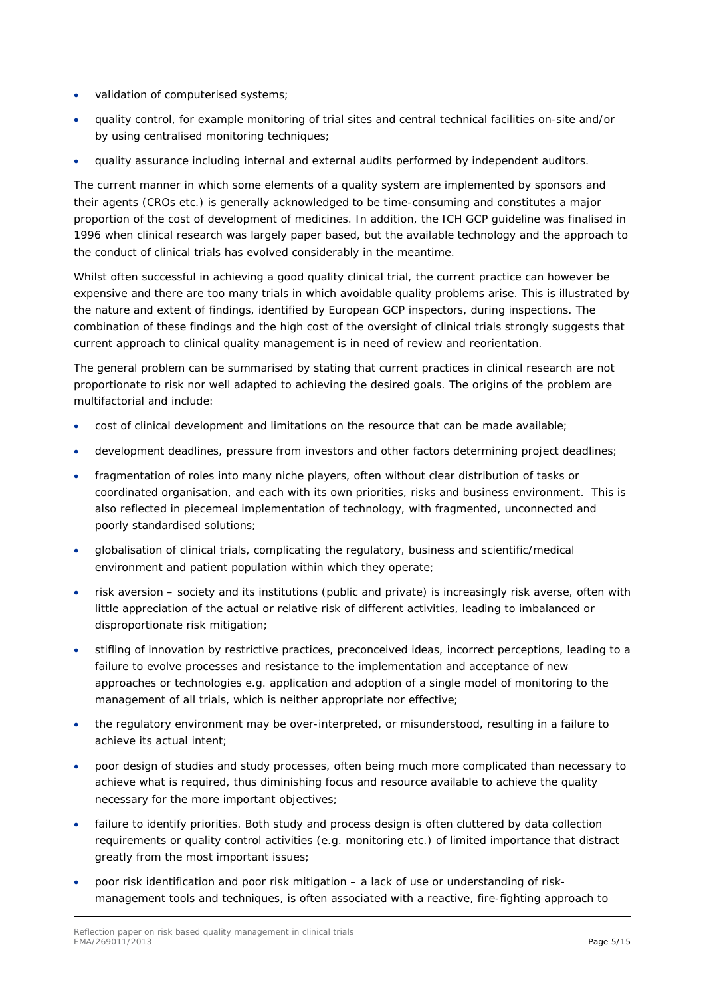- validation of computerised systems;
- quality control, for example monitoring of trial sites and central technical facilities on-site and/or by using centralised monitoring techniques;
- quality assurance including internal and external audits performed by independent auditors.

The current manner in which some elements of a quality system are implemented by sponsors and their agents (CROs etc.) is generally acknowledged to be time-consuming and constitutes a major proportion of the cost of development of medicines. In addition, the ICH GCP guideline was finalised in 1996 when clinical research was largely paper based, but the available technology and the approach to the conduct of clinical trials has evolved considerably in the meantime.

Whilst often successful in achieving a good quality clinical trial, the current practice can however be expensive and there are too many trials in which avoidable quality problems arise. This is illustrated by the nature and extent of findings, identified by European GCP inspectors, during inspections. The combination of these findings and the high cost of the oversight of clinical trials strongly suggests that current approach to clinical quality management is in need of review and reorientation.

The general problem can be summarised by stating that current practices in clinical research are not proportionate to risk nor well adapted to achieving the desired goals. The origins of the problem are multifactorial and include:

- cost of clinical development and limitations on the resource that can be made available;
- development deadlines, pressure from investors and other factors determining project deadlines;
- fragmentation of roles into many niche players, often without clear distribution of tasks or coordinated organisation, and each with its own priorities, risks and business environment. This is also reflected in piecemeal implementation of technology, with fragmented, unconnected and poorly standardised solutions;
- globalisation of clinical trials, complicating the regulatory, business and scientific/medical environment and patient population within which they operate;
- risk aversion society and its institutions (public and private) is increasingly risk averse, often with little appreciation of the actual or relative risk of different activities, leading to imbalanced or disproportionate risk mitigation;
- stifling of innovation by restrictive practices, preconceived ideas, incorrect perceptions, leading to a failure to evolve processes and resistance to the implementation and acceptance of new approaches or technologies e.g. application and adoption of a single model of monitoring to the management of all trials, which is neither appropriate nor effective;
- the regulatory environment may be over-interpreted, or misunderstood, resulting in a failure to achieve its actual intent;
- poor design of studies and study processes, often being much more complicated than necessary to achieve what is required, thus diminishing focus and resource available to achieve the quality necessary for the more important objectives;
- failure to identify priorities. Both study and process design is often cluttered by data collection requirements or quality control activities (e.g. monitoring etc.) of limited importance that distract greatly from the most important issues;
- poor risk identification and poor risk mitigation a lack of use or understanding of riskmanagement tools and techniques, is often associated with a reactive, fire-fighting approach to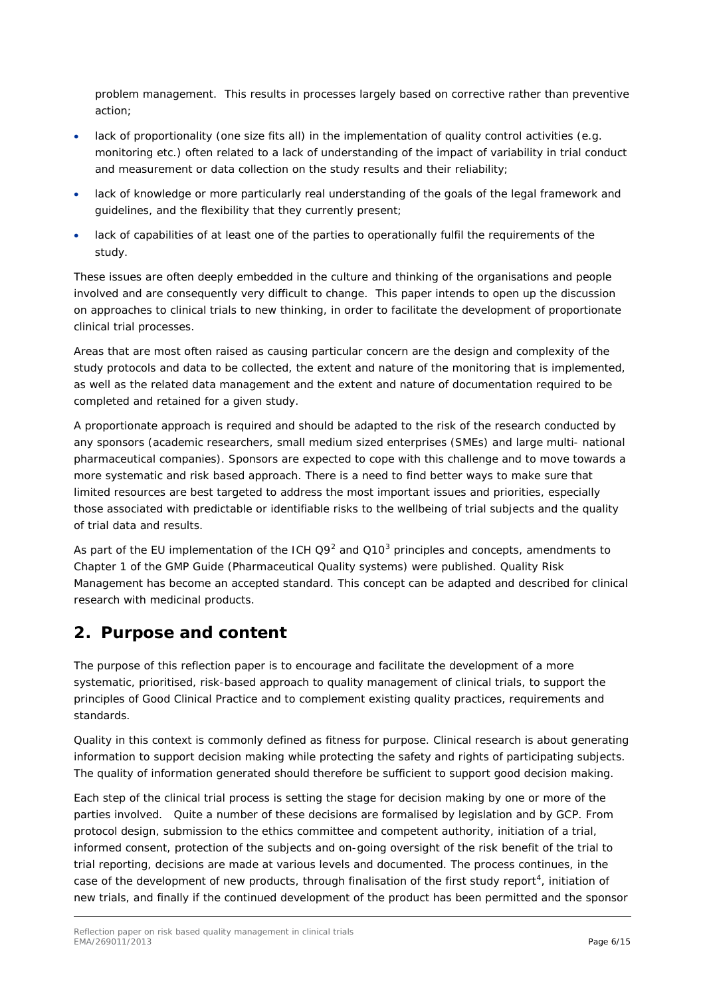problem management. This results in processes largely based on corrective rather than preventive action;

- lack of proportionality (one size fits all) in the implementation of quality control activities (e.g. monitoring etc.) often related to a lack of understanding of the impact of variability in trial conduct and measurement or data collection on the study results and their reliability;
- lack of knowledge or more particularly real understanding of the goals of the legal framework and guidelines, and the flexibility that they currently present;
- lack of capabilities of at least one of the parties to operationally fulfil the requirements of the study.

These issues are often deeply embedded in the culture and thinking of the organisations and people involved and are consequently very difficult to change. This paper intends to open up the discussion on approaches to clinical trials to new thinking, in order to facilitate the development of proportionate clinical trial processes.

Areas that are most often raised as causing particular concern are the design and complexity of the study protocols and data to be collected, the extent and nature of the monitoring that is implemented, as well as the related data management and the extent and nature of documentation required to be completed and retained for a given study.

A proportionate approach is required and should be adapted to the risk of the research conducted by any sponsors (academic researchers, small medium sized enterprises (SMEs) and large multi- national pharmaceutical companies). Sponsors are expected to cope with this challenge and to move towards a more systematic and risk based approach. There is a need to find better ways to make sure that limited resources are best targeted to address the most important issues and priorities, especially those associated with predictable or identifiable risks to the wellbeing of trial subjects and the quality of trial data and results.

<span id="page-5-1"></span>As part of the EU implementation of the ICH  $Q9^2$  $Q9^2$  and  $Q10^3$  $Q10^3$  principles and concepts, amendments to Chapter 1 of the GMP Guide (Pharmaceutical Quality systems) were published. Quality Risk Management has become an accepted standard. This concept can be adapted and described for clinical research with medicinal products.

## <span id="page-5-0"></span>**2. Purpose and content**

The purpose of this reflection paper is to encourage and facilitate the development of a more systematic, prioritised, risk-based approach to quality management of clinical trials, to support the principles of Good Clinical Practice and to complement existing quality practices, requirements and standards.

Quality in this context is commonly defined as fitness for purpose. Clinical research is about generating information to support decision making while protecting the safety and rights of participating subjects. The quality of information generated should therefore be sufficient to support good decision making.

<span id="page-5-2"></span>Each step of the clinical trial process is setting the stage for decision making by one or more of the parties involved. Quite a number of these decisions are formalised by legislation and by GCP. From protocol design, submission to the ethics committee and competent authority, initiation of a trial, informed consent, protection of the subjects and on-going oversight of the risk benefit of the trial to trial reporting, decisions are made at various levels and documented. The process continues, in the case of the development of new products, through finalisation of the first study report<sup>[4](#page-14-4)</sup>, initiation of new trials, and finally if the continued development of the product has been permitted and the sponsor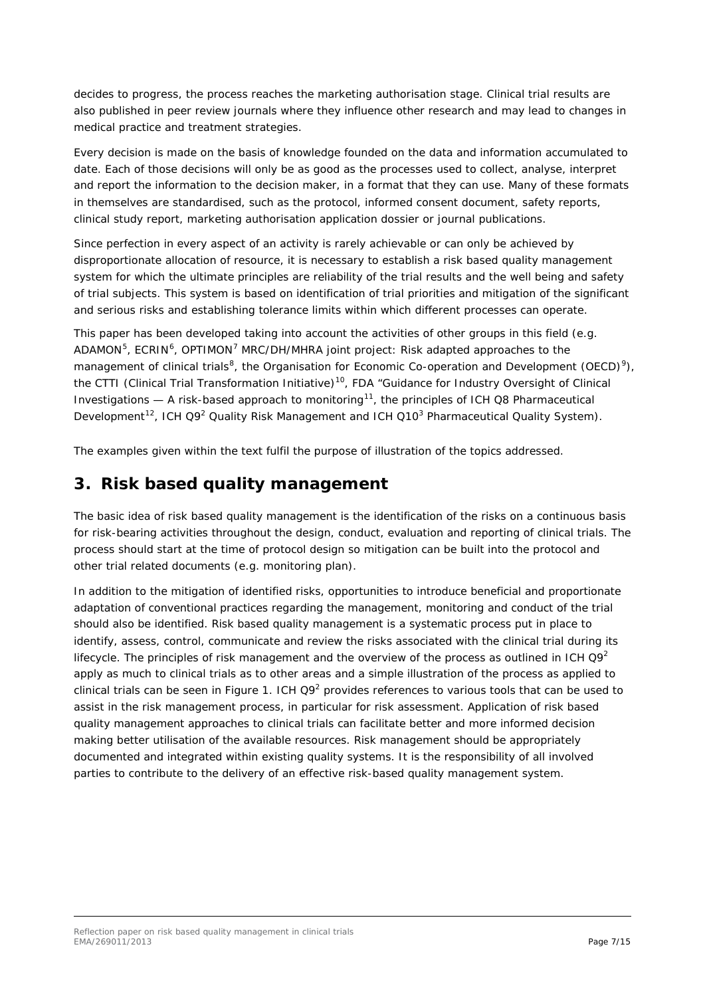decides to progress, the process reaches the marketing authorisation stage. Clinical trial results are also published in peer review journals where they influence other research and may lead to changes in medical practice and treatment strategies.

Every decision is made on the basis of knowledge founded on the data and information accumulated to date. Each of those decisions will only be as good as the processes used to collect, analyse, interpret and report the information to the decision maker, in a format that they can use. Many of these formats in themselves are standardised, such as the protocol, informed consent document, safety reports, clinical study report, marketing authorisation application dossier or journal publications.

Since perfection in every aspect of an activity is rarely achievable or can only be achieved by disproportionate allocation of resource, it is necessary to establish a risk based quality management system for which the ultimate principles are reliability of the trial results and the well being and safety of trial subjects. This system is based on identification of trial priorities and mitigation of the significant and serious risks and establishing tolerance limits within which different processes can operate.

This paper has been developed taking into account the activities of other groups in this field (e.g.  $ADAMON<sup>5</sup>$  $ADAMON<sup>5</sup>$  $ADAMON<sup>5</sup>$ , ECRIN<sup>[6](#page-14-6)</sup>, OPTIMON<sup>[7](#page-14-7)</sup> MRC/DH/MHRA joint project: Risk adapted approaches to the management of clinical trials<sup>[8](#page-14-8)</sup>, the Organisation for Economic Co-operation and Development (OECD)<sup>[9](#page-14-9)</sup>), the CTTI (Clinical Trial Transformation Initiative)<sup>[10](#page-14-10)</sup>, FDA "Guidance for Industry Oversight of Clinical Investigations  $-$  A risk-based approach to monitoring<sup>[11](#page-14-11)</sup>, the principles of ICH Q8 Pharmaceutical Development<sup>[12](#page-14-12)</sup>, ICH Q9<sup>2</sup> Quality Risk Management and ICH Q10<sup>3</sup> Pharmaceutical Quality System).

The examples given within the text fulfil the purpose of illustration of the topics addressed.

### <span id="page-6-0"></span>**3. Risk based quality management**

The basic idea of risk based quality management is the identification of the risks on a continuous basis for risk-bearing activities throughout the design, conduct, evaluation and reporting of clinical trials. The process should start at the time of protocol design so mitigation can be built into the protocol and other trial related documents (e.g. monitoring plan).

In addition to the mitigation of identified risks, opportunities to introduce beneficial and proportionate adaptation of conventional practices regarding the management, monitoring and conduct of the trial should also be identified. Risk based quality management is a systematic process put in place to identify, assess, control, communicate and review the risks associated with the clinical trial during its lifecycle. The principles of risk management and the overview of the process as outlined in ICH  $\Omega$ 9<sup>2</sup> apply as much to clinical trials as to other areas and a simple illustration of the process as applied to clinical trials can be seen in Figure 1. ICH  $Q9<sup>2</sup>$  provides references to various tools that can be used to assist in the risk management process, in particular for risk assessment. Application of risk based quality management approaches to clinical trials can facilitate better and more informed decision making better utilisation of the available resources. Risk management should be appropriately documented and integrated within existing quality systems. It is the responsibility of all involved parties to contribute to the delivery of an effective risk-based quality management system.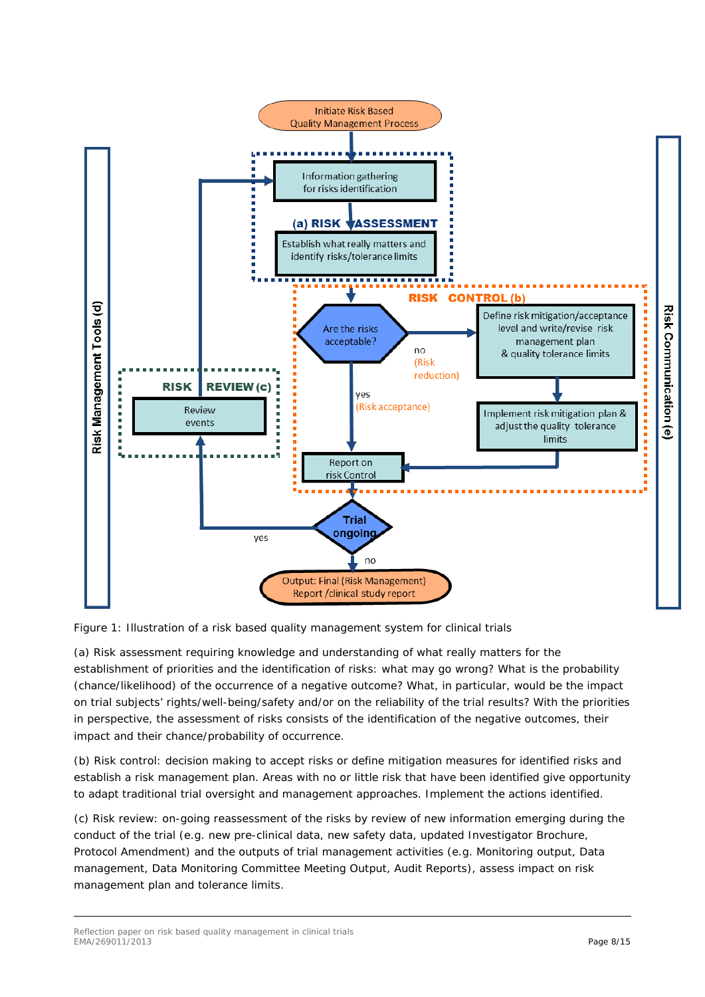

Figure 1: Illustration of a risk based quality management system for clinical trials

(a) Risk assessment requiring knowledge and understanding of what really matters for the establishment of priorities and the identification of risks: what may go wrong? What is the probability (chance/likelihood) of the occurrence of a negative outcome? What, in particular, would be the impact on trial subjects' rights/well-being/safety and/or on the reliability of the trial results? With the priorities in perspective, the assessment of risks consists of the identification of the negative outcomes, their impact and their chance/probability of occurrence.

(b) Risk control: decision making to accept risks or define mitigation measures for identified risks and establish a risk management plan. Areas with no or little risk that have been identified give opportunity to adapt traditional trial oversight and management approaches. Implement the actions identified.

(c) Risk review: on-going reassessment of the risks by review of new information emerging during the conduct of the trial (e.g. new pre-clinical data, new safety data, updated Investigator Brochure, Protocol Amendment) and the outputs of trial management activities (e.g. Monitoring output, Data management, Data Monitoring Committee Meeting Output, Audit Reports), assess impact on risk management plan and tolerance limits.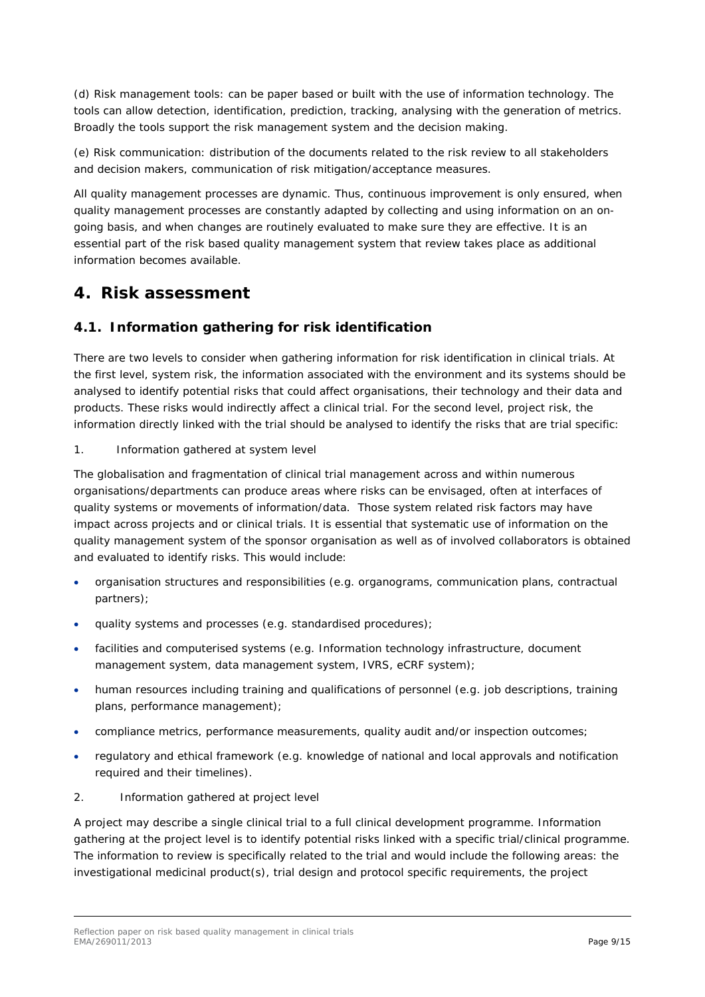(d) Risk management tools: can be paper based or built with the use of information technology. The tools can allow detection, identification, prediction, tracking, analysing with the generation of metrics. Broadly the tools support the risk management system and the decision making.

(e) Risk communication: distribution of the documents related to the risk review to all stakeholders and decision makers, communication of risk mitigation/acceptance measures.

All quality management processes are dynamic. Thus, continuous improvement is only ensured, when quality management processes are constantly adapted by collecting and using information on an ongoing basis, and when changes are routinely evaluated to make sure they are effective. It is an essential part of the risk based quality management system that review takes place as additional information becomes available.

### <span id="page-8-0"></span>**4. Risk assessment**

#### <span id="page-8-1"></span>*4.1. Information gathering for risk identification*

There are two levels to consider when gathering information for risk identification in clinical trials. At the first level, system risk, the information associated with the environment and its systems should be analysed to identify potential risks that could affect organisations, their technology and their data and products. These risks would indirectly affect a clinical trial. For the second level, project risk, the information directly linked with the trial should be analysed to identify the risks that are trial specific:

#### 1. Information gathered at system level

The globalisation and fragmentation of clinical trial management across and within numerous organisations/departments can produce areas where risks can be envisaged, often at interfaces of quality systems or movements of information/data. Those system related risk factors may have impact across projects and or clinical trials. It is essential that systematic use of information on the quality management system of the sponsor organisation as well as of involved collaborators is obtained and evaluated to identify risks. This would include:

- organisation structures and responsibilities (e.g. organograms, communication plans, contractual partners);
- quality systems and processes (e.g. standardised procedures);
- facilities and computerised systems (e.g. Information technology infrastructure, document management system, data management system, IVRS, eCRF system);
- human resources including training and qualifications of personnel (e.g. job descriptions, training plans, performance management);
- compliance metrics, performance measurements, quality audit and/or inspection outcomes;
- regulatory and ethical framework (e.g. knowledge of national and local approvals and notification required and their timelines).
- 2. Information gathered at project level

A project may describe a single clinical trial to a full clinical development programme. Information gathering at the project level is to identify potential risks linked with a specific trial/clinical programme. The information to review is specifically related to the trial and would include the following areas: the investigational medicinal product(s), trial design and protocol specific requirements, the project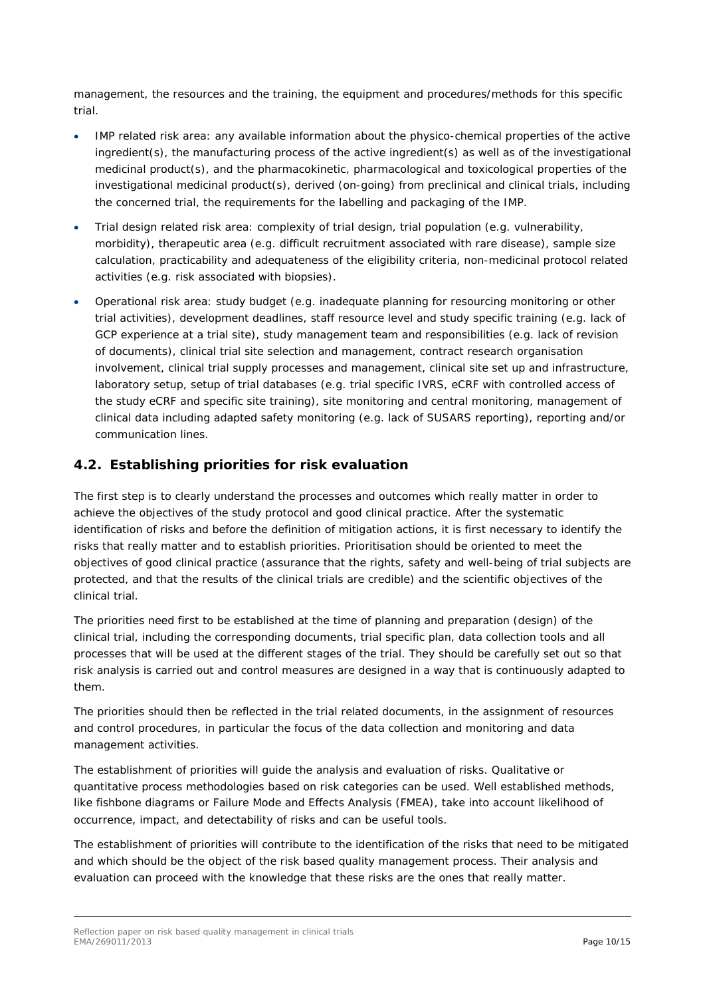management, the resources and the training, the equipment and procedures/methods for this specific trial.

- IMP related risk area: any available information about the physico-chemical properties of the active ingredient(s), the manufacturing process of the active ingredient(s) as well as of the investigational medicinal product(s), and the pharmacokinetic, pharmacological and toxicological properties of the investigational medicinal product(s), derived (on-going) from preclinical and clinical trials, including the concerned trial, the requirements for the labelling and packaging of the IMP.
- Trial design related risk area: complexity of trial design, trial population (e.g. vulnerability, morbidity), therapeutic area (e.g. difficult recruitment associated with rare disease), sample size calculation, practicability and adequateness of the eligibility criteria, non-medicinal protocol related activities (e.g. risk associated with biopsies).
- Operational risk area: study budget (e.g. inadequate planning for resourcing monitoring or other trial activities), development deadlines, staff resource level and study specific training (e.g. lack of GCP experience at a trial site), study management team and responsibilities (e.g. lack of revision of documents), clinical trial site selection and management, contract research organisation involvement, clinical trial supply processes and management, clinical site set up and infrastructure, laboratory setup, setup of trial databases (e.g. trial specific IVRS, eCRF with controlled access of the study eCRF and specific site training), site monitoring and central monitoring, management of clinical data including adapted safety monitoring (e.g. lack of SUSARS reporting), reporting and/or communication lines.

#### <span id="page-9-0"></span>*4.2. Establishing priorities for risk evaluation*

The first step is to clearly understand the processes and outcomes which really matter in order to achieve the objectives of the study protocol and good clinical practice. After the systematic identification of risks and before the definition of mitigation actions, it is first necessary to identify the risks that really matter and to establish priorities. Prioritisation should be oriented to meet the objectives of good clinical practice (assurance that the rights, safety and well-being of trial subjects are protected, and that the results of the clinical trials are credible) and the scientific objectives of the clinical trial.

The priorities need first to be established at the time of planning and preparation (design) of the clinical trial, including the corresponding documents, trial specific plan, data collection tools and all processes that will be used at the different stages of the trial. They should be carefully set out so that risk analysis is carried out and control measures are designed in a way that is continuously adapted to them.

The priorities should then be reflected in the trial related documents, in the assignment of resources and control procedures, in particular the focus of the data collection and monitoring and data management activities.

The establishment of priorities will guide the analysis and evaluation of risks. Qualitative or quantitative process methodologies based on risk categories can be used. Well established methods, like fishbone diagrams or Failure Mode and Effects Analysis (FMEA), take into account likelihood of occurrence, impact, and detectability of risks and can be useful tools.

The establishment of priorities will contribute to the identification of the risks that need to be mitigated and which should be the object of the risk based quality management process. Their analysis and evaluation can proceed with the knowledge that these risks are the ones that really matter.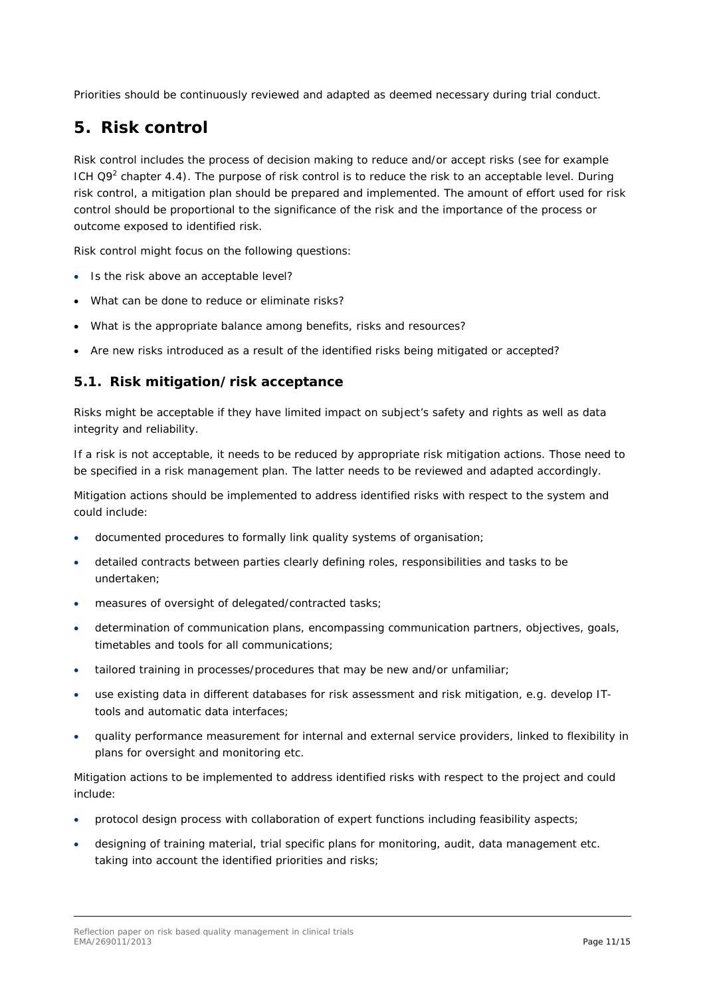Priorities should be continuously reviewed and adapted as deemed necessary during trial conduct.

## <span id="page-10-0"></span>**5. Risk control**

Risk control includes the process of decision making to reduce and/or accept risks (see for example ICH Q9<sup>[2](#page-5-1)</sup> chapter 4.4). The purpose of risk control is to reduce the risk to an acceptable level. During risk control, a mitigation plan should be prepared and implemented. The amount of effort used for risk control should be proportional to the significance of the risk and the importance of the process or outcome exposed to identified risk.

Risk control might focus on the following questions:

- Is the risk above an acceptable level?
- What can be done to reduce or eliminate risks?
- What is the appropriate balance among benefits, risks and resources?
- Are new risks introduced as a result of the identified risks being mitigated or accepted?

#### <span id="page-10-1"></span>*5.1. Risk mitigation/risk acceptance*

Risks might be acceptable if they have limited impact on subject's safety and rights as well as data integrity and reliability.

If a risk is not acceptable, it needs to be reduced by appropriate risk mitigation actions. Those need to be specified in a risk management plan. The latter needs to be reviewed and adapted accordingly.

Mitigation actions should be implemented to address identified risks with respect to the system and could include:

- documented procedures to formally link quality systems of organisation;
- detailed contracts between parties clearly defining roles, responsibilities and tasks to be undertaken;
- measures of oversight of delegated/contracted tasks;
- determination of communication plans, encompassing communication partners, objectives, goals, timetables and tools for all communications;
- tailored training in processes/procedures that may be new and/or unfamiliar;
- use existing data in different databases for risk assessment and risk mitigation, e.g. develop ITtools and automatic data interfaces;
- quality performance measurement for internal and external service providers, linked to flexibility in plans for oversight and monitoring etc.

Mitigation actions to be implemented to address identified risks with respect to the project and could include:

- protocol design process with collaboration of expert functions including feasibility aspects;
- designing of training material, trial specific plans for monitoring, audit, data management etc. taking into account the identified priorities and risks;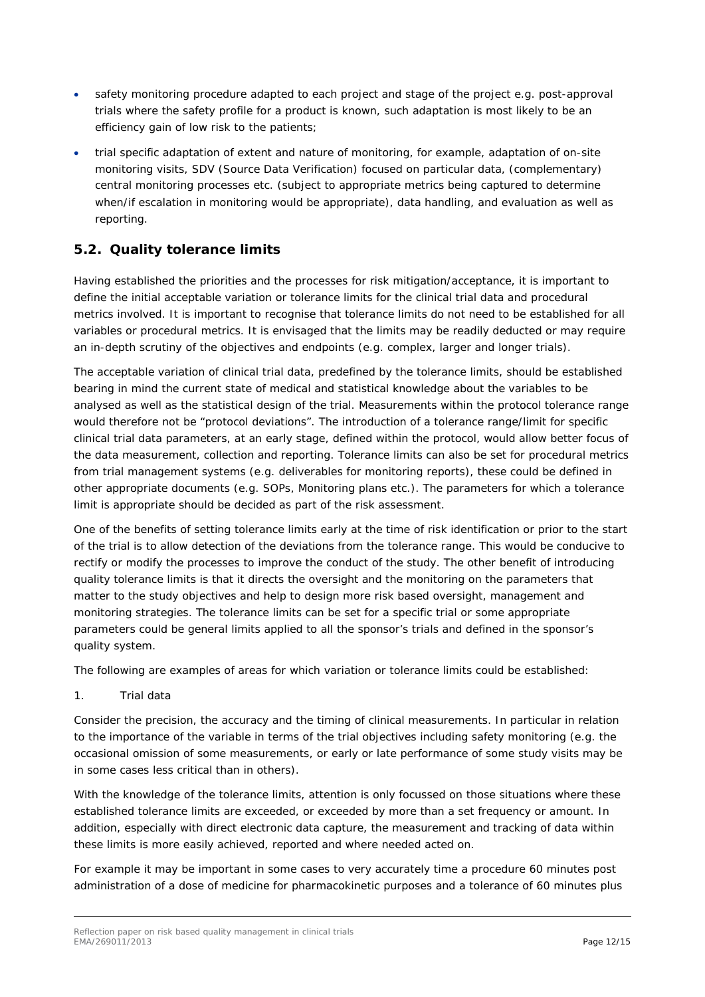- safety monitoring procedure adapted to each project and stage of the project e.g. post-approval trials where the safety profile for a product is known, such adaptation is most likely to be an efficiency gain of low risk to the patients;
- trial specific adaptation of extent and nature of monitoring, for example, adaptation of on-site monitoring visits, SDV (Source Data Verification) focused on particular data, (complementary) central monitoring processes etc. (subject to appropriate metrics being captured to determine when/if escalation in monitoring would be appropriate), data handling, and evaluation as well as reporting.

#### <span id="page-11-0"></span>*5.2. Quality tolerance limits*

Having established the priorities and the processes for risk mitigation/acceptance, it is important to define the initial acceptable variation or tolerance limits for the clinical trial data and procedural metrics involved. It is important to recognise that tolerance limits do not need to be established for all variables or procedural metrics. It is envisaged that the limits may be readily deducted or may require an in-depth scrutiny of the objectives and endpoints (e.g. complex, larger and longer trials).

The acceptable variation of clinical trial data, predefined by the tolerance limits, should be established bearing in mind the current state of medical and statistical knowledge about the variables to be analysed as well as the statistical design of the trial. Measurements within the protocol tolerance range would therefore not be "protocol deviations". The introduction of a tolerance range/limit for specific clinical trial data parameters, at an early stage, defined within the protocol, would allow better focus of the data measurement, collection and reporting. Tolerance limits can also be set for procedural metrics from trial management systems (e.g. deliverables for monitoring reports), these could be defined in other appropriate documents (e.g. SOPs, Monitoring plans etc.). The parameters for which a tolerance limit is appropriate should be decided as part of the risk assessment.

One of the benefits of setting tolerance limits early at the time of risk identification or prior to the start of the trial is to allow detection of the deviations from the tolerance range. This would be conducive to rectify or modify the processes to improve the conduct of the study. The other benefit of introducing quality tolerance limits is that it directs the oversight and the monitoring on the parameters that matter to the study objectives and help to design more risk based oversight, management and monitoring strategies. The tolerance limits can be set for a specific trial or some appropriate parameters could be general limits applied to all the sponsor's trials and defined in the sponsor's quality system.

The following are examples of areas for which variation or tolerance limits could be established:

1. Trial data

Consider the precision, the accuracy and the timing of clinical measurements. In particular in relation to the importance of the variable in terms of the trial objectives including safety monitoring (e.g. the occasional omission of some measurements, or early or late performance of some study visits may be in some cases less critical than in others).

With the knowledge of the tolerance limits, attention is only focussed on those situations where these established tolerance limits are exceeded, or exceeded by more than a set frequency or amount. In addition, especially with direct electronic data capture, the measurement and tracking of data within these limits is more easily achieved, reported and where needed acted on.

For example it may be important in some cases to very accurately time a procedure 60 minutes post administration of a dose of medicine for pharmacokinetic purposes and a tolerance of 60 minutes plus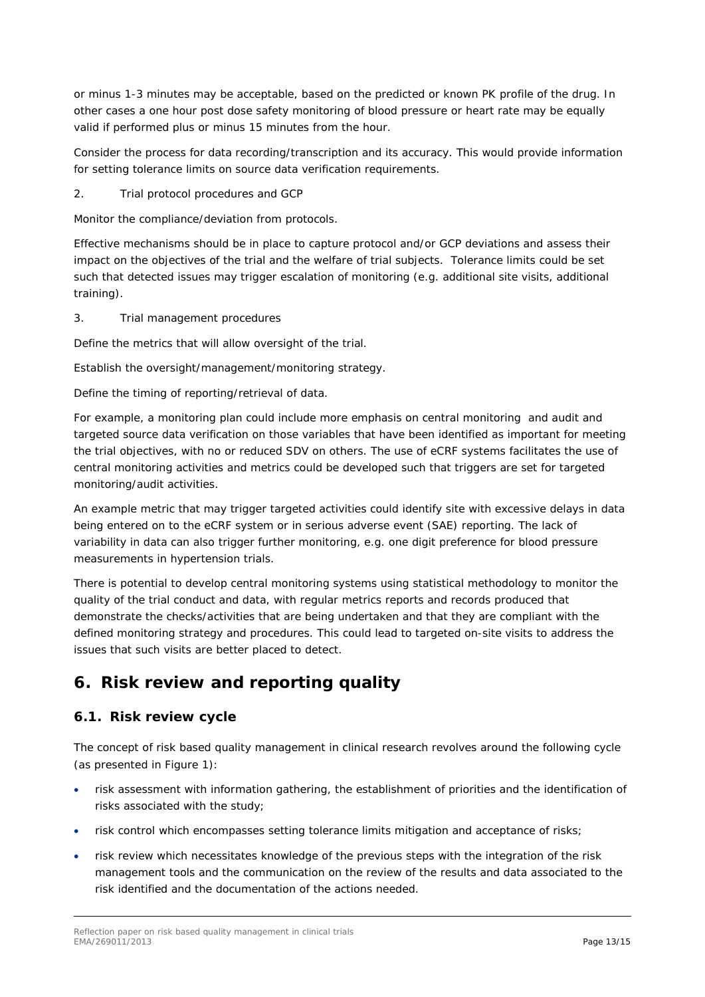or minus 1-3 minutes may be acceptable, based on the predicted or known PK profile of the drug. In other cases a one hour post dose safety monitoring of blood pressure or heart rate may be equally valid if performed plus or minus 15 minutes from the hour.

Consider the process for data recording/transcription and its accuracy. This would provide information for setting tolerance limits on source data verification requirements.

2. Trial protocol procedures and GCP

Monitor the compliance/deviation from protocols.

Effective mechanisms should be in place to capture protocol and/or GCP deviations and assess their impact on the objectives of the trial and the welfare of trial subjects. Tolerance limits could be set such that detected issues may trigger escalation of monitoring (e.g. additional site visits, additional training).

3. Trial management procedures

Define the metrics that will allow oversight of the trial.

Establish the oversight/management/monitoring strategy.

Define the timing of reporting/retrieval of data.

For example, a monitoring plan could include more emphasis on central monitoring and audit and targeted source data verification on those variables that have been identified as important for meeting the trial objectives, with no or reduced SDV on others. The use of eCRF systems facilitates the use of central monitoring activities and metrics could be developed such that triggers are set for targeted monitoring/audit activities.

An example metric that may trigger targeted activities could identify site with excessive delays in data being entered on to the eCRF system or in serious adverse event (SAE) reporting. The lack of variability in data can also trigger further monitoring, e.g. one digit preference for blood pressure measurements in hypertension trials.

There is potential to develop central monitoring systems using statistical methodology to monitor the quality of the trial conduct and data, with regular metrics reports and records produced that demonstrate the checks/activities that are being undertaken and that they are compliant with the defined monitoring strategy and procedures. This could lead to targeted on-site visits to address the issues that such visits are better placed to detect.

## <span id="page-12-0"></span>**6. Risk review and reporting quality**

#### <span id="page-12-1"></span>*6.1. Risk review cycle*

The concept of risk based quality management in clinical research revolves around the following cycle (as presented in Figure 1):

- risk assessment with information gathering, the establishment of priorities and the identification of risks associated with the study;
- risk control which encompasses setting tolerance limits mitigation and acceptance of risks;
- risk review which necessitates knowledge of the previous steps with the integration of the risk management tools and the communication on the review of the results and data associated to the risk identified and the documentation of the actions needed.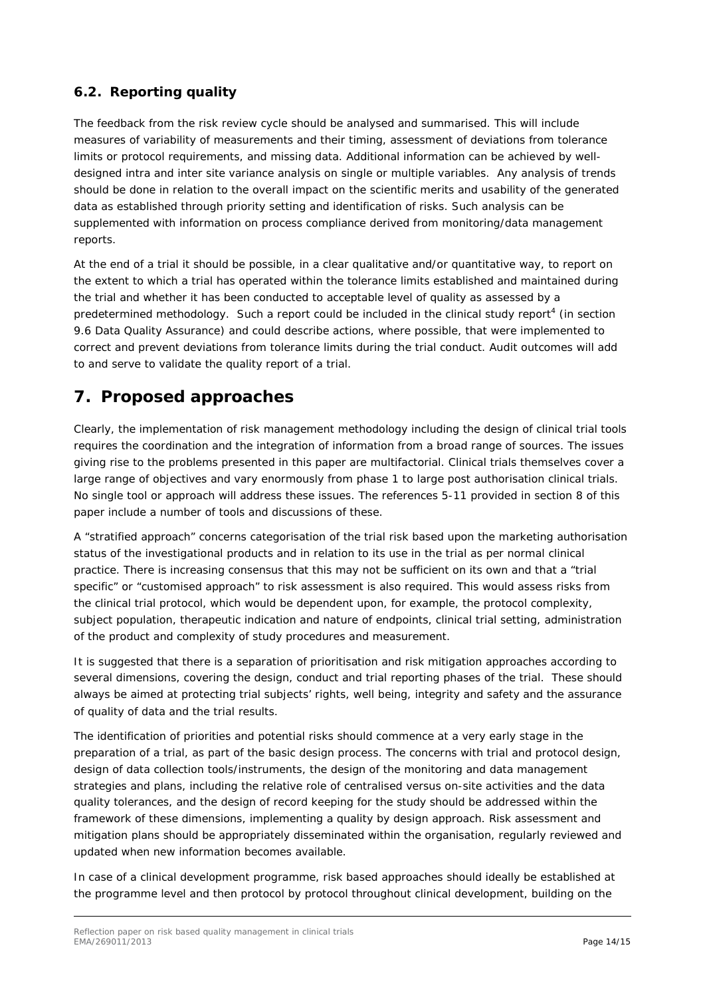### <span id="page-13-0"></span>*6.2. Reporting quality*

The feedback from the risk review cycle should be analysed and summarised. This will include measures of variability of measurements and their timing, assessment of deviations from tolerance limits or protocol requirements, and missing data. Additional information can be achieved by welldesigned intra and inter site variance analysis on single or multiple variables. Any analysis of trends should be done in relation to the overall impact on the scientific merits and usability of the generated data as established through priority setting and identification of risks. Such analysis can be supplemented with information on process compliance derived from monitoring/data management reports.

At the end of a trial it should be possible, in a clear qualitative and/or quantitative way, to report on the extent to which a trial has operated within the tolerance limits established and maintained during the trial and whether it has been conducted to acceptable level of quality as assessed by a predetermined methodology. Such a report could be included in the clinical study report<sup>[4](#page-5-2)</sup> (in section 9.6 Data Quality Assurance) and could describe actions, where possible, that were implemented to correct and prevent deviations from tolerance limits during the trial conduct. Audit outcomes will add to and serve to validate the quality report of a trial.

## <span id="page-13-1"></span>**7. Proposed approaches**

Clearly, the implementation of risk management methodology including the design of clinical trial tools requires the coordination and the integration of information from a broad range of sources. The issues giving rise to the problems presented in this paper are multifactorial. Clinical trials themselves cover a large range of objectives and vary enormously from phase 1 to large post authorisation clinical trials. No single tool or approach will address these issues. The references 5-11 provided in section 8 of this paper include a number of tools and discussions of these.

A "stratified approach" concerns categorisation of the trial risk based upon the marketing authorisation status of the investigational products and in relation to its use in the trial as per normal clinical practice. There is increasing consensus that this may not be sufficient on its own and that a "trial specific" or "customised approach" to risk assessment is also required. This would assess risks from the clinical trial protocol, which would be dependent upon, for example, the protocol complexity, subject population, therapeutic indication and nature of endpoints, clinical trial setting, administration of the product and complexity of study procedures and measurement.

It is suggested that there is a separation of prioritisation and risk mitigation approaches according to several dimensions, covering the design, conduct and trial reporting phases of the trial. These should always be aimed at protecting trial subjects' rights, well being, integrity and safety and the assurance of quality of data and the trial results.

The identification of priorities and potential risks should commence at a very early stage in the preparation of a trial, as part of the basic design process. The concerns with trial and protocol design, design of data collection tools/instruments, the design of the monitoring and data management strategies and plans, including the relative role of centralised versus on-site activities and the data quality tolerances, and the design of record keeping for the study should be addressed within the framework of these dimensions, implementing a quality by design approach. Risk assessment and mitigation plans should be appropriately disseminated within the organisation, regularly reviewed and updated when new information becomes available.

In case of a clinical development programme, risk based approaches should ideally be established at the programme level and then protocol by protocol throughout clinical development, building on the